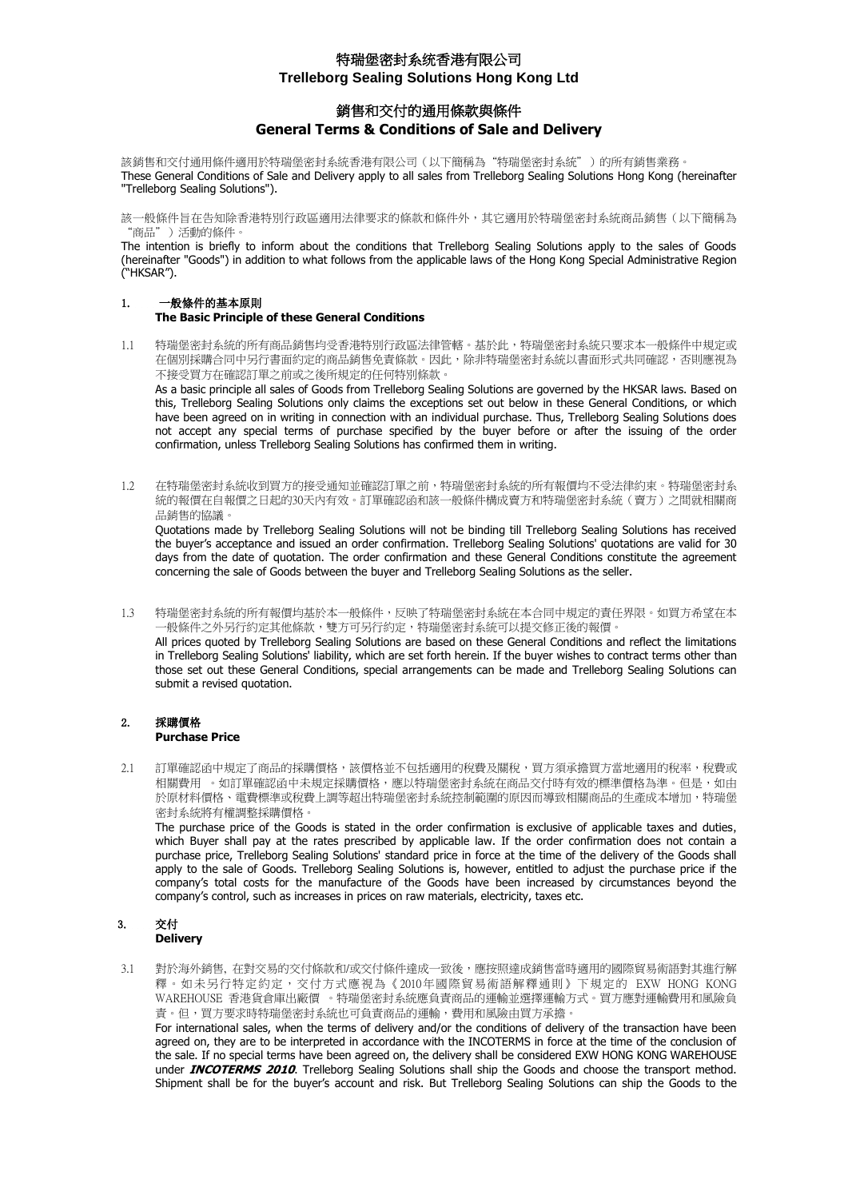## 銷售和交付的通用條款與條件 **General Terms & Conditions of Sale and Delivery**

該銷售和交付通用條件適用於特瑞堡密封系統香港有限公司(以下簡稱為"特瑞堡密封系統")的所有銷售業務。 These General Conditions of Sale and Delivery apply to all sales from Trelleborg Sealing Solutions Hong Kong (hereinafter "Trelleborg Sealing Solutions").

該一般條件旨在告知除香港特別行政區適用法律要求的條款和條件外,其它適用於特瑞堡密封系統商品銷售(以下簡稱為 "商品")活動的條件。

The intention is briefly to inform about the conditions that Trelleborg Sealing Solutions apply to the sales of Goods (hereinafter "Goods") in addition to what follows from the applicable laws of the Hong Kong Special Administrative Region ("HKSAR").

# 1. 一般條件的基本原則

### **The Basic Principle of these General Conditions**

1.1 特瑞堡密封系統的所有商品銷售均受香港特別行政區法律管轄。基於此,特瑞堡密封系統只要求本一般條件中規定或 在個別採購合同中另行書面約定的商品銷售免責條款。因此,除非特瑞堡密封系統以書面形式共同確認,否則應視為 不接受買方在確認訂單之前或之後所規定的任何特別條款。

As a basic principle all sales of Goods from Trelleborg Sealing Solutions are governed by the HKSAR laws. Based on this, Trelleborg Sealing Solutions only claims the exceptions set out below in these General Conditions, or which have been agreed on in writing in connection with an individual purchase. Thus, Trelleborg Sealing Solutions does not accept any special terms of purchase specified by the buyer before or after the issuing of the order confirmation, unless Trelleborg Sealing Solutions has confirmed them in writing.

1.2 在特瑞堡密封系統收到買方的接受通知並確認訂單之前,特瑞堡密封系統的所有報價均不受法律約束。特瑞堡密封系 統的報價在自報價之日起的30天內有效。訂單確認函和該一般條件構成賣方和特瑞堡密封系統(賣方)之間就相關商 品銷售的協議。

Quotations made by Trelleborg Sealing Solutions will not be binding till Trelleborg Sealing Solutions has received the buyer's acceptance and issued an order confirmation. Trelleborg Sealing Solutions' quotations are valid for 30 days from the date of quotation. The order confirmation and these General Conditions constitute the agreement concerning the sale of Goods between the buyer and Trelleborg Sealing Solutions as the seller.

1.3 特瑞堡密封系統的所有報價均基於本一般條件,反映了特瑞堡密封系統在本合同中規定的責任界限。如買方希望在本 一般條件之外另行約定規性條款,雙方可另行約定,特瑞堡密封系統可以提交修正後的報價。 All prices quoted by Trelleborg Sealing Solutions are based on these General Conditions and reflect the limitations in Trelleborg Sealing Solutions' liability, which are set forth herein. If the buyer wishes to contract terms other than those set out these General Conditions, special arrangements can be made and Trelleborg Sealing Solutions can submit a revised quotation.

#### 2. 採購價格 **Purchase Price**

2.1 訂單確認函中規定了商品的採購價格,該價格並不包括適用的稅費及關稅,買方須承擔買方當地適用的稅率,稅費或 相關費用 。如訂單確認函中未規定採購價格,應以特瑞堡密封系統在商品交付時有效的標準價格為準。但是,如由 於原材料價格、電費標準或稅費上調等超出特瑞堡密封系統控制範圍的原因而導致相關商品的生產成本增加,特瑞堡 密封系統將有權調整採購價格。

The purchase price of the Goods is stated in the order confirmation is exclusive of applicable taxes and duties, which Buyer shall pay at the rates prescribed by applicable law. If the order confirmation does not contain a purchase price, Trelleborg Sealing Solutions' standard price in force at the time of the delivery of the Goods shall apply to the sale of Goods. Trelleborg Sealing Solutions is, however, entitled to adjust the purchase price if the company's total costs for the manufacture of the Goods have been increased by circumstances beyond the company's control, such as increases in prices on raw materials, electricity, taxes etc.

# 3. 交付

## **Delivery**

3.1 對於海外銷售, 在對交易的交付條款和/或交付條件達成一致後,應按照達成銷售當時適用的國際貿易術語對其進行解 釋。如未另行特定約定,交付方式應視為《2010年國際貿易術語解釋通則》下規定的 EXW HONG KONG WAREHOUSE 香港貨倉庫出廠價 。特瑞堡密封系統應負責商品的運輸並選擇運輸方式。買方應對運輸費用和風險負 責。但,買方要求時特瑞堡密封系統也可負責商品的運輸,費用和風險由買方承擔。 For international sales, when the terms of delivery and/or the conditions of delivery of the transaction have been agreed on, they are to be interpreted in accordance with the INCOTERMS in force at the time of the conclusion of the sale. If no special terms have been agreed on, the delivery shall be considered EXW HONG KONG WAREHOUSE under **INCOTERMS 2010**. Trelleborg Sealing Solutions shall ship the Goods and choose the transport method.

Shipment shall be for the buyer's account and risk. But Trelleborg Sealing Solutions can ship the Goods to the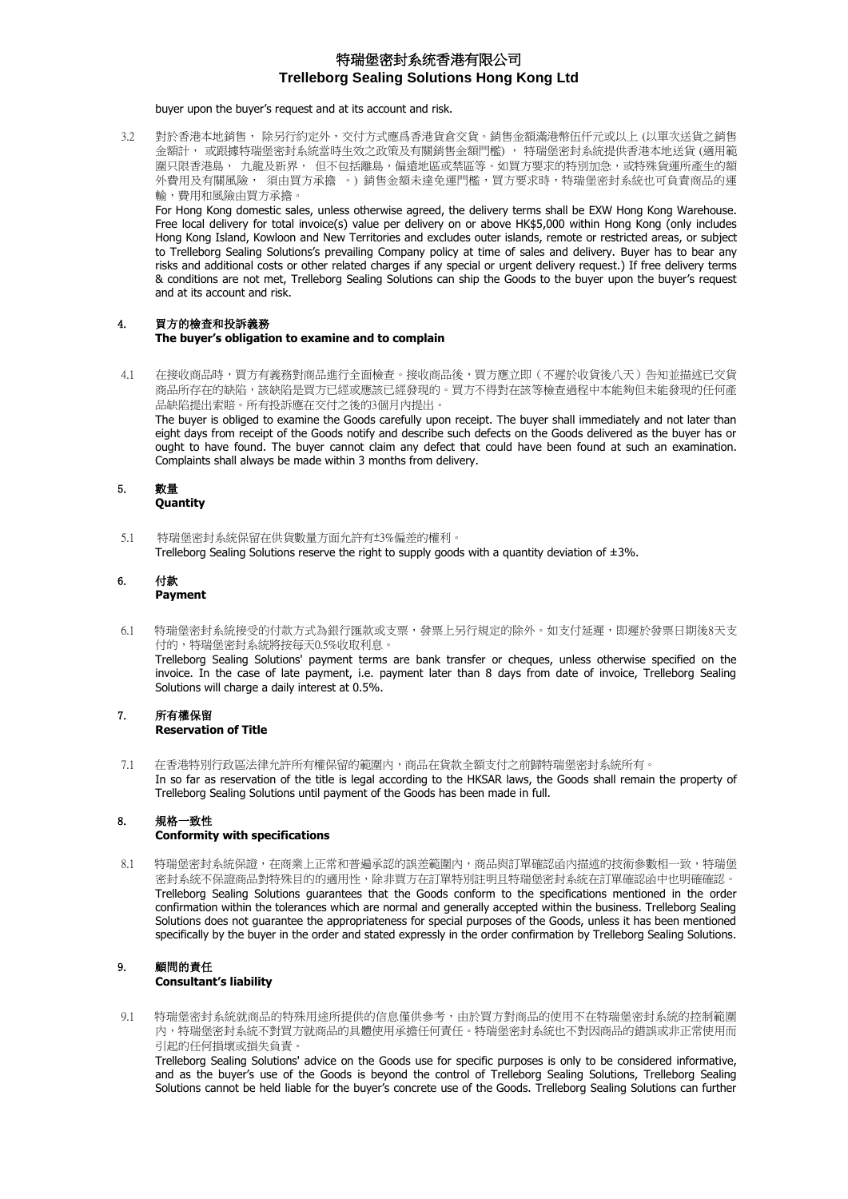buyer upon the buyer's request and at its account and risk.

3.2 對於香港本地銷售, 除另行約定外,交付方式應爲香港貨倉交貨。銷售金額滿港幣伍仟元或以上 (以單次送貨之銷售 金額計, 或跟據特瑞堡密封系統當時生效之政策及有關銷售金額門檻) , 特瑞堡密封系統提供香港本地送貨 (適用範 圍只限香港島, 九龍及新界, 但不包括離島,偏遠地區或禁區等。如買方要求的特別加急,或特殊貨運所產生的額 外費用及有關風險, 須由買方承擔 。) 銷售金額未達免運門檻,買方要求時,特瑞堡密封系統也可負責商品的運 輸,費用和風險由買方承擔。

For Hong Kong domestic sales, unless otherwise agreed, the delivery terms shall be EXW Hong Kong Warehouse. Free local delivery for total invoice(s) value per delivery on or above HK\$5,000 within Hong Kong (only includes Hong Kong Island, Kowloon and New Territories and excludes outer islands, remote or restricted areas, or subject to Trelleborg Sealing Solutions's prevailing Company policy at time of sales and delivery. Buyer has to bear any risks and additional costs or other related charges if any special or urgent delivery request.) If free delivery terms & conditions are not met, Trelleborg Sealing Solutions can ship the Goods to the buyer upon the buyer's request and at its account and risk.

# 4. 買方的檢查和投訴義務

**The buyer's obligation to examine and to complain**

4.1 在接收商品時,買方有義務對商品進行全面檢查。接收商品後,買方應立即(不遲於收貨後八天)告知並描述已交貨 商品所存在的缺陷,該缺陷是買方已經或應該已經發現的。買方不得對在該等檢查過程中本能夠但未能發現的任何產 品缺陷提出索賠。所有投訴應在交付之後的3個月內提出。 The buyer is obliged to examine the Goods carefully upon receipt. The buyer shall immediately and not later than eight days from receipt of the Goods notify and describe such defects on the Goods delivered as the buyer has or ought to have found. The buyer cannot claim any defect that could have been found at such an examination. Complaints shall always be made within 3 months from delivery.

### 5. 數量 **Quantity**

5.1 特瑞堡密封系統保留在供貨數量方面允許有±3%偏差的權利。 Trelleborg Sealing Solutions reserve the right to supply goods with a quantity deviation of ±3%.

#### 6. 付款 **Payment**

- 6.1 特瑞堡密封系統接受的付款方式為銀行匯款或支票,發票上另行規定的除外。如支付延遲,即遲於發票日期後8天支 付的,特瑞堡密封系統將按每天0.5%收取利息。 Trelleborg Sealing Solutions' payment terms are bank transfer or cheques, unless otherwise specified on the invoice. In the case of late payment, i.e. payment later than 8 days from date of invoice, Trelleborg Sealing Solutions will charge a daily interest at 0.5%.
- 7. 所有權保留 **Reservation of Title**
- 7.1 在香港特別行政區法律允許所有權保留的範圍內,商品在貨款全額支付之前歸特瑞堡密封系統所有。 In so far as reservation of the title is legal according to the HKSAR laws, the Goods shall remain the property of Trelleborg Sealing Solutions until payment of the Goods has been made in full.

#### 8. 規格一致性 **Conformity with specifications**

8.1 特瑞堡密封系統保證,在商業上正常和普遍承認的誤差範圍內,商品與訂單確認函內描述的技術參數相一致,特瑞堡 密封系統不保證商品對特殊目的的適用性,除非買方在訂單特別註明且特瑞堡密封系統在訂單確認函中也明確確認。 Trelleborg Sealing Solutions guarantees that the Goods conform to the specifications mentioned in the order confirmation within the tolerances which are normal and generally accepted within the business. Trelleborg Sealing Solutions does not guarantee the appropriateness for special purposes of the Goods, unless it has been mentioned specifically by the buyer in the order and stated expressly in the order confirmation by Trelleborg Sealing Solutions.

### 9. 顧問的責任 **Consultant's liability**

9.1 特瑞堡密封系統就商品的特殊用途所提供的信息僅供參考,由於買方對商品的使用不在特瑞堡密封系統的控制範圍 內,特瑞堡密封系統不對買方就商品的具體使用承擔任何責任。特瑞堡密封系統也不對因商品的錯誤或非正常使用而 引起的任何損壞或損失負責。

Trelleborg Sealing Solutions' advice on the Goods use for specific purposes is only to be considered informative, and as the buyer's use of the Goods is beyond the control of Trelleborg Sealing Solutions, Trelleborg Sealing Solutions cannot be held liable for the buyer's concrete use of the Goods. Trelleborg Sealing Solutions can further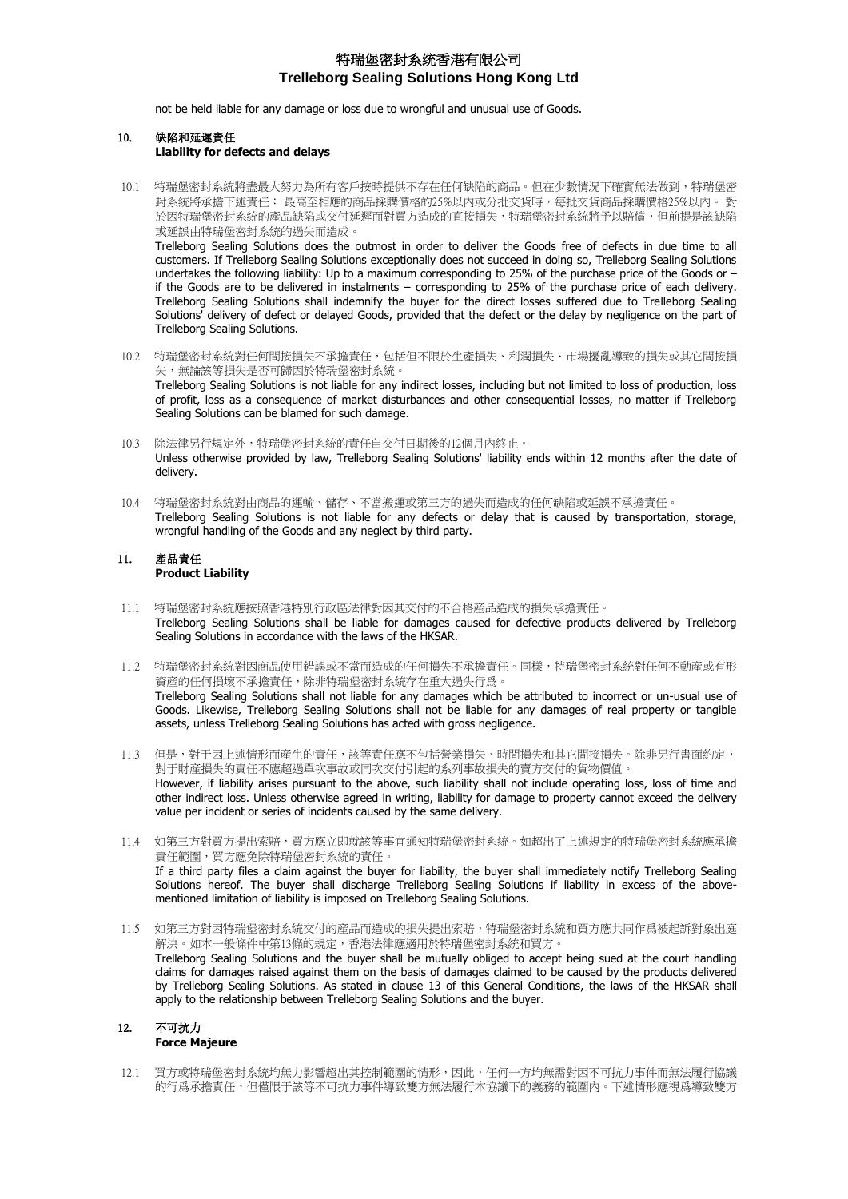not be held liable for any damage or loss due to wrongful and unusual use of Goods.

#### 10. 缺陷和延遲責任 **Liability for defects and delays**

10.1 特瑞堡密封系統將盡最大努力為所有客戶按時提供不存在任何缺陷的商品。但在少數情況下確實無法做到,特瑞堡密 封系統將承擔下述責任: 最高至相應的商品採購價格的25%以內或分批交貨時,每批交貨商品採購價格25%以內。 對 於因特瑞堡密封系統的產品缺陷或交付延遲而對買方造成的直接損失,特瑞堡密封系統將予以賠償,但前提是該缺陷 或延誤由特瑞堡密封系統的過失而造成。

Trelleborg Sealing Solutions does the outmost in order to deliver the Goods free of defects in due time to all customers. If Trelleborg Sealing Solutions exceptionally does not succeed in doing so, Trelleborg Sealing Solutions undertakes the following liability: Up to a maximum corresponding to 25% of the purchase price of the Goods or – if the Goods are to be delivered in instalments – corresponding to 25% of the purchase price of each delivery. Trelleborg Sealing Solutions shall indemnify the buyer for the direct losses suffered due to Trelleborg Sealing Solutions' delivery of defect or delayed Goods, provided that the defect or the delay by negligence on the part of Trelleborg Sealing Solutions.

- 10.2 特瑞堡密封系統對任何間接損失不承擔責任,包括但不限於生產損失、利潤損失、市場擾亂導致的損失或其它間接損 失,無論該等損失是否可歸因於特瑞堡密封系統。 Trelleborg Sealing Solutions is not liable for any indirect losses, including but not limited to loss of production, loss of profit, loss as a consequence of market disturbances and other consequential losses, no matter if Trelleborg Sealing Solutions can be blamed for such damage.
- 10.3 除法律另行規定外,特瑞堡密封系統的責任自交付日期後的12個月內終止。 Unless otherwise provided by law, Trelleborg Sealing Solutions' liability ends within 12 months after the date of delivery.
- 10.4 特瑞堡密封系統對由商品的運輸、儲存、不當搬運或第三方的過失而造成的任何缺陷或延誤不承擔責任。 Trelleborg Sealing Solutions is not liable for any defects or delay that is caused by transportation, storage, wrongful handling of the Goods and any neglect by third party.

#### 11. 産品責任 **Product Liability**

- 11.1 特瑞堡密封系統應按照香港特別行政區法律對因其交付的不合格産品造成的損失承擔責任。 Trelleborg Sealing Solutions shall be liable for damages caused for defective products delivered by Trelleborg Sealing Solutions in accordance with the laws of the HKSAR.
- 11.2 特瑞堡密封系統對因商品使用錯誤或不當而造成的任何損失不承擔責任。同樣,特瑞堡密封系統對任何不動産或有形 資産的任何損壞不承擔責任,除非特瑞堡密封系統存在重大過失行爲。 Trelleborg Sealing Solutions shall not liable for any damages which be attributed to incorrect or un-usual use of Goods. Likewise, Trelleborg Sealing Solutions shall not be liable for any damages of real property or tangible assets, unless Trelleborg Sealing Solutions has acted with gross negligence.
- 11.3 但是,對于因上述情形而産生的責任,該等責任應不包括營業損失、時間損失和其它間接損失。除非另行書面約定, 對于財産損失的責任不應超過單次事故或同次交付引起的系列事故損失的賣方交付的貨物價值。 However, if liability arises pursuant to the above, such liability shall not include operating loss, loss of time and other indirect loss. Unless otherwise agreed in writing, liability for damage to property cannot exceed the delivery value per incident or series of incidents caused by the same delivery.
- 11.4 如第三方對買方提出索賠,買方應立即就該等事宜通知特瑞堡密封系統。如超出了上述規定的特瑞堡密封系統應承擔 責任範圍,買方應免除特瑞堡密封系統的責任。 If a third party files a claim against the buyer for liability, the buyer shall immediately notify Trelleborg Sealing Solutions hereof. The buyer shall discharge Trelleborg Sealing Solutions if liability in excess of the abovementioned limitation of liability is imposed on Trelleborg Sealing Solutions.
- 11.5 如第三方對因特瑞堡密封系統交付的産品而造成的損失提出索賠,特瑞堡密封系統和買方應共同作爲被起訴對象出庭 解決。如本一般條件中第13條的規定,香港法律應適用於特瑞堡密封系統和買方 Trelleborg Sealing Solutions and the buyer shall be mutually obliged to accept being sued at the court handling claims for damages raised against them on the basis of damages claimed to be caused by the products delivered by Trelleborg Sealing Solutions. As stated in clause 13 of this General Conditions, the laws of the HKSAR shall apply to the relationship between Trelleborg Sealing Solutions and the buyer.

# 12. 不可抗力

### **Force Majeure**

12.1 買方或特瑞堡密封系統均無力影響超出其控制範圍的情形,因此,任何一方均無需對因不可抗力事件而無法履行協議 的行爲承擔責任,但僅限于該等不可抗力事件導致雙方無法履行本協議下的義務的範圍內。下述情形應視爲導致雙方